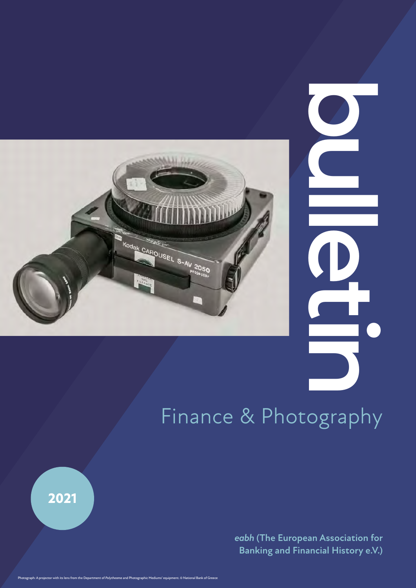

# Finance & Photography

 *eabh* **(The European Association for Banking and Financial History e.V.)**

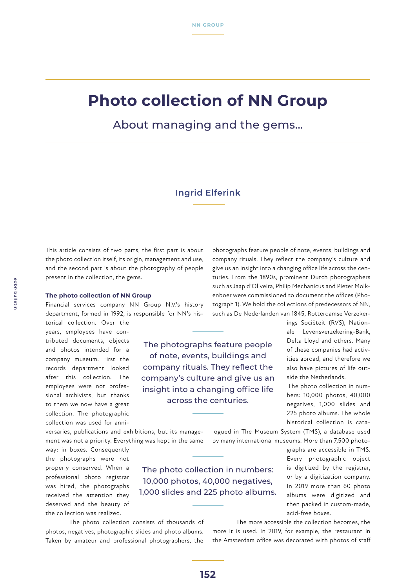# **Photo collection of NN Group**

About managing and the gems…

# **Ingrid Elferink**

The photographs feature people of note, events, buildings and company rituals. They reflect the company's culture and give us an insight into a changing office life across the centuries.

This article consists of two parts, the first part is about the photo collection itself, its origin, management and use, and the second part is about the photography of people present in the collection, the gems.

# **The photo collection of NN Group**

Financial services company NN Group N.V.'s history department, formed in 1992, is responsible for NN's historical collection. Over the

years, employees have contributed documents, objects and photos intended for a company museum. First the records department looked after this collection. The employees were not professional archivists, but thanks to them we now have a great collection. The photographic collection was used for anni-

versaries, publications and exhibitions, but its management was not a priority. Everything was kept in the same

way: in boxes. Consequently the photographs were not properly conserved. When a professional photo registrar was hired, the photographs received the attention they deserved and the beauty of the collection was realized.

The photo collection consists of thousands of photos, negatives, photographic slides and photo albums. Taken by amateur and professional photographers, the

photographs feature people of note, events, buildings and company rituals. They reflect the company's culture and give us an insight into a changing office life across the centuries. From the 1890s, prominent Dutch photographers such as Jaap d'Oliveira, Philip Mechanicus and Pieter Molkenboer were commissioned to document the offices (Photograph 1). We hold the collections of predecessors of NN, such as De Nederlanden van 1845, Rotterdamse Verzeker-

> ings Sociëteit (RVS), Nationale Levensverzekering-Bank, Delta Lloyd and others. Many of these companies had activities abroad, and therefore we also have pictures of life outside the Netherlands.

> The photo collection in numbers: 10,000 photos, 40,000 negatives, 1,000 slides and 225 photo albums. The whole historical collection is cata-

logued in The Museum System (TMS), a database used by many international museums. More than 7,500 photo-

> graphs are accessible in TMS. Every photographic object is digitized by the registrar, or by a digitization company. In 2019 more than 60 photo albums were digitized and then packed in custom-made, acid-free boxes.

The more accessible the collection becomes, the more it is used. In 2019, for example, the restaurant in the Amsterdam office was decorated with photos of staff

The photo collection in numbers: 10,000 photos, 40,000 negatives, 1,000 slides and 225 photo albums.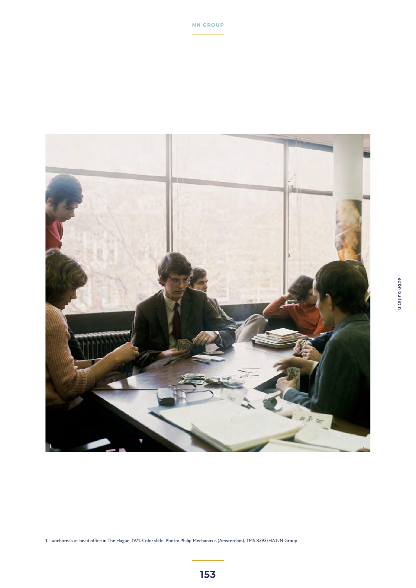



1. Lunchbreak at head office in The Hague, 1971. Color slide. Photo: Philip Mechanicus (Amsterdam). TMS 8393/HA NN Group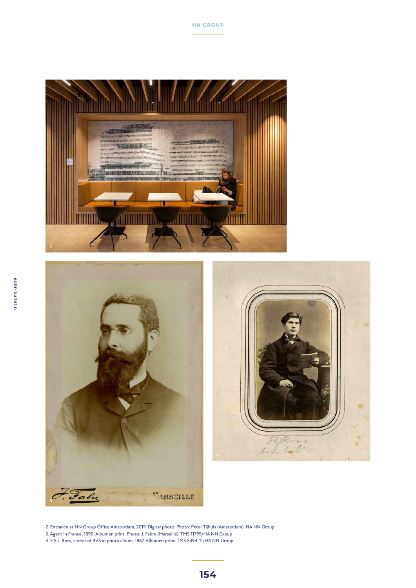**NN GROUP**







2. Entrance at NN Group Office Amsterdam, 2019. Digital photo. Photo: Peter Tijhuis (Amsterdam). HA NN Group 3. Agent in France, 1890. Albumen print. Photo: J. Fabre (Marseille). TMS 11795/HA NN Group 4. F.A.J. Ross, carrier of RVS in photo album, 1867. Albumen print. TMS 5394-11/HA NN Group

**154**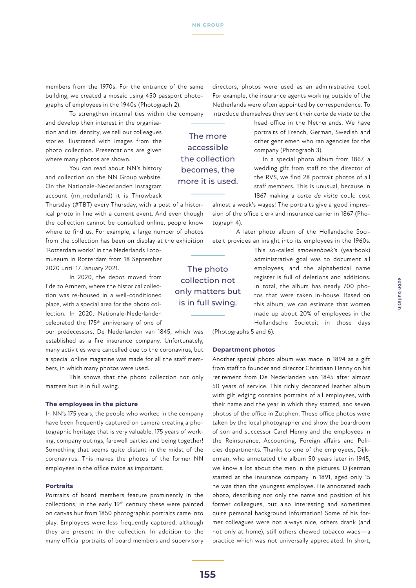The more accessible the collection becomes, the more it is used.

members from the 1970s. For the entrance of the same building, we created a mosaic using 450 passport photographs of employees in the 1940s (Photograph 2).

To strengthen internal ties within the company

and develop their interest in the organisation and its identity, we tell our colleagues stories illustrated with images from the photo collection. Presentations are given where many photos are shown.

You can read about NN's history and collection on the NN Group website. On the Nationale-Nederlanden Instagram account (nn\_nederland) it is Throwback

Thursday (#TBT) every Thursday, with a post of a historical photo in line with a current event. And even though the collection cannot be consulted online, people know where to find us. For example, a large number of photos from the collection has been on display at the exhibition

'Rotterdam works' in the Nederlands Fotomuseum in Rotterdam from 18 September 2020 until 17 January 2021.

In 2020, the depot moved from Ede to Arnhem, where the historical collection was re-housed in a well-conditioned place, with a special area for the photo collection. In 2020, Nationale-Nederlanden celebrated the 175th anniversary of one of

our predecessors, De Nederlanden van 1845, which was established as a fire insurance company. Unfortunately, many activities were cancelled due to the coronavirus, but a special online magazine was made for all the staff members, in which many photos were used.

This shows that the photo collection not only matters but is in full swing.

# **The employees in the picture**

In NN's 175 years, the people who worked in the company have been frequently captured on camera creating a photographic heritage that is very valuable. 175 years of working, company outings, farewell parties and being together! Something that seems quite distant in the midst of the coronavirus. This makes the photos of the former NN employees in the office twice as important.

# **Portraits**

Portraits of board members feature prominently in the collections; in the early 19<sup>th</sup> century these were painted on canvas but from 1850 photographic portraits came into play. Employees were less frequently captured, although they are present in the collection. In addition to the many official portraits of board members and supervisory

directors, photos were used as an administrative tool. For example, the insurance agents working outside of the Netherlands were often appointed by correspondence. To introduce themselves they sent their *carte de visite* to the

> head office in the Netherlands. We have portraits of French, German, Swedish and other gentlemen who ran agencies for the company (Photograph 3).

> In a special photo album from 1867, a wedding gift from staff to the director of the RVS, we find 28 portrait photos of all staff members. This is unusual, because in 1867 making a *carte de visite* could cost

almost a week's wages! The portraits give a good impression of the office clerk and insurance carrier in 1867 (Photograph 4).

A later photo album of the Hollandsche Societeit provides an insight into its employees in the 1960s.

The photo collection not only matters but is in full swing.

This so-called *smoelenboek's* (yearbook) administrative goal was to document all employees, and the alphabetical name register is full of deletions and additions. In total, the album has nearly 700 photos that were taken in-house. Based on this album, we can estimate that women made up about 20% of employees in the Hollandsche Societeit in those days

(Photographs 5 and 6).

### **Department photos**

Another special photo album was made in 1894 as a gift from staff to founder and director Christiaan Henny on his retirement from De Nederlanden van 1845 after almost 50 years of service. This richly decorated leather album with gilt edging contains portraits of all employees, with their name and the year in which they started, and seven photos of the office in Zutphen. These office photos were taken by the local photographer and show the boardroom of son and successor Carel Henny and the employees in the Reinsurance, Accounting, Foreign affairs and Policies departments. Thanks to one of the employees, Dijkerman, who annotated the album 50 years later in 1945, we know a lot about the men in the pictures. Dijkerman started at the insurance company in 1891, aged only 15 he was then the youngest employee. He annotated each photo, describing not only the name and position of his former colleagues, but also interesting and sometimes quite personal background information! Some of his former colleagues were not always nice, others drank (and not only at home), still others chewed tobacco wads—a practice which was not universally appreciated. In short, *eabh* **bulletin**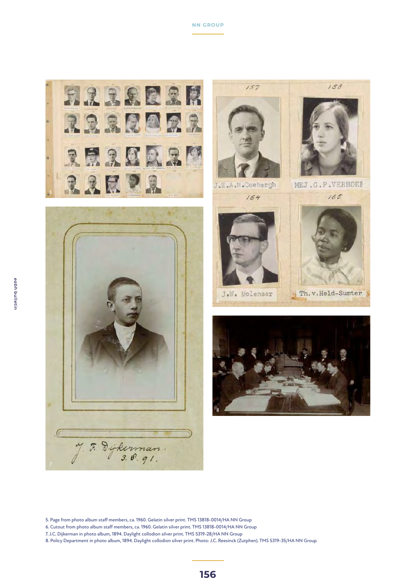





J.E.A.M.Coebergh

164



J.W. Molenaar 6



 $165$ 

Th. v. Held-Sumter



5. Page from photo album staff members, ca. 1960. Gelatin silver print. TMS 13818-0014/HA NN Group

6. Cutout from photo album staff members, ca. 1960. Gelatin silver print. TMS 13818-0014/HA NN Group

7. J.C. Dijkerman in photo album, 1894. Daylight collodion silver print. TMS 5319-28/HA NN Group

8. Policy Department in photo album, 1894. Daylight collodion silver print. Photo: J.C. Reesinck (Zutphen). TMS 5319-35/HA NN Group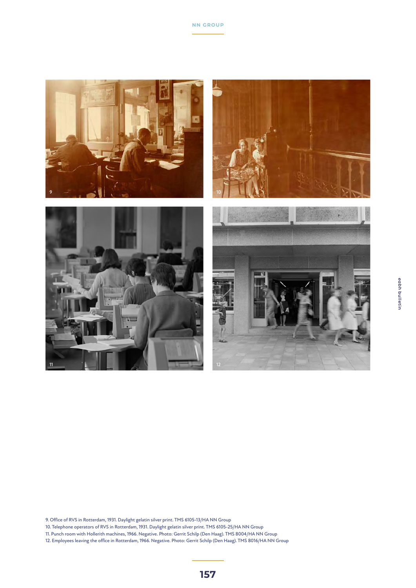

9. Office of RVS in Rotterdam, 1931. Daylight gelatin silver print. TMS 6105-13/HA NN Group

10. Telephone operators of RVS in Rotterdam, 1931. Daylight gelatin silver print. TMS 6105-25/HA NN Group

11. Punch room with Hollerith machines, 1966. Negative. Photo: Gerrit Schilp (Den Haag). TMS 8004/HA NN Group

12. Employees leaving the office in Rotterdam, 1966. Negative. Photo: Gerrit Schilp (Den Haag). TMS 8016/HA NN Group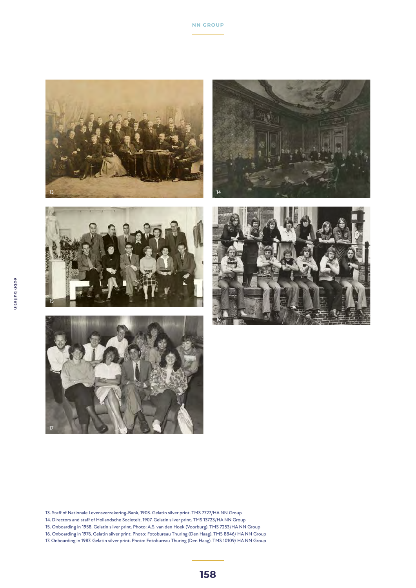









13. Staff of Nationale Levensverzekering-Bank, 1903. Gelatin silver print. TMS 7727/HA NN Group

14. Directors and staff of Hollandsche Societeit, 1907. Gelatin silver print. TMS 13723/HA NN Group

15. Onboarding in 1958. Gelatin silver print. Photo: A.S. van den Hoek (Voorburg). TMS 7253/HA NN Group

16. Onboarding in 1976. Gelatin silver print. Photo: Fotobureau Thuring (Den Haag). TMS 8846/ HA NN Group 17. Onboarding in 1987. Gelatin silver print. Photo: Fotobureau Thuring (Den Haag). TMS 10109/ HA NN Group

**158**